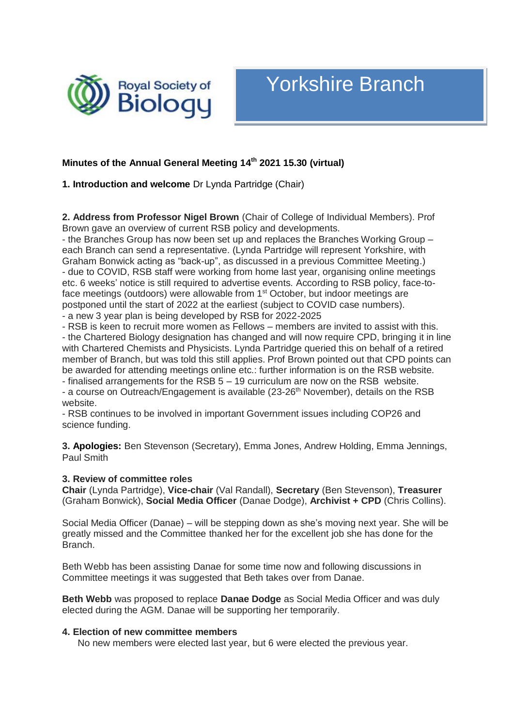

# Yorkshire Branch

# **Minutes of the Annual General Meeting 14 th 2021 15.30 (virtual)**

**1. Introduction and welcome** Dr Lynda Partridge (Chair)

**2. Address from Professor Nigel Brown** (Chair of College of Individual Members). Prof Brown gave an overview of current RSB policy and developments.

- the Branches Group has now been set up and replaces the Branches Working Group – each Branch can send a representative. (Lynda Partridge will represent Yorkshire, with Graham Bonwick acting as "back-up", as discussed in a previous Committee Meeting.) - due to COVID, RSB staff were working from home last year, organising online meetings etc. 6 weeks' notice is still required to advertise events. According to RSB policy, face-toface meetings (outdoors) were allowable from 1<sup>st</sup> October, but indoor meetings are postponed until the start of 2022 at the earliest (subject to COVID case numbers).

- a new 3 year plan is being developed by RSB for 2022-2025

- RSB is keen to recruit more women as Fellows – members are invited to assist with this.

- the Chartered Biology designation has changed and will now require CPD, bringing it in line with Chartered Chemists and Physicists. Lynda Partridge queried this on behalf of a retired member of Branch, but was told this still applies. Prof Brown pointed out that CPD points can be awarded for attending meetings online etc.: further information is on the RSB website. - finalised arrangements for the RSB 5 – 19 curriculum are now on the RSB website.

- a course on Outreach/Engagement is available (23-26<sup>th</sup> November), details on the RSB website.

- RSB continues to be involved in important Government issues including COP26 and science funding.

**3. Apologies:** Ben Stevenson (Secretary), Emma Jones, Andrew Holding, Emma Jennings, Paul Smith

#### **3. Review of committee roles**

**Chair** (Lynda Partridge), **Vice-chair** (Val Randall), **Secretary** (Ben Stevenson), **Treasurer**  (Graham Bonwick), **Social Media Officer** (Danae Dodge), **Archivist + CPD** (Chris Collins).

Social Media Officer (Danae) – will be stepping down as she's moving next year. She will be greatly missed and the Committee thanked her for the excellent job she has done for the Branch.

Beth Webb has been assisting Danae for some time now and following discussions in Committee meetings it was suggested that Beth takes over from Danae.

**Beth Webb** was proposed to replace **Danae Dodge** as Social Media Officer and was duly elected during the AGM. Danae will be supporting her temporarily.

#### **4. Election of new committee members**

No new members were elected last year, but 6 were elected the previous year.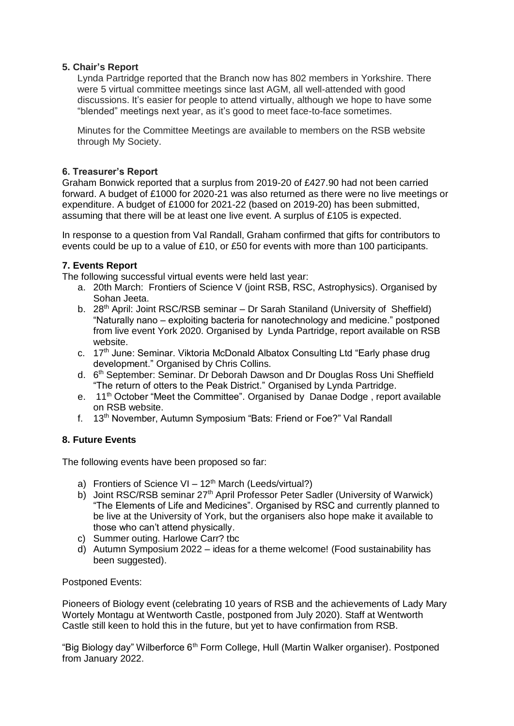# **5. Chair's Report**

Lynda Partridge reported that the Branch now has 802 members in Yorkshire. There were 5 virtual committee meetings since last AGM, all well-attended with good discussions. It's easier for people to attend virtually, although we hope to have some "blended" meetings next year, as it's good to meet face-to-face sometimes.

Minutes for the Committee Meetings are available to members on the RSB website through My Society.

# **6. Treasurer's Report**

Graham Bonwick reported that a surplus from 2019-20 of £427.90 had not been carried forward. A budget of £1000 for 2020-21 was also returned as there were no live meetings or expenditure. A budget of £1000 for 2021-22 (based on 2019-20) has been submitted, assuming that there will be at least one live event. A surplus of £105 is expected.

In response to a question from Val Randall, Graham confirmed that gifts for contributors to events could be up to a value of £10, or £50 for events with more than 100 participants.

# **7. Events Report**

The following successful virtual events were held last year:

- a. 20th March: Frontiers of Science V (joint RSB, RSC, Astrophysics). Organised by Sohan Jeeta.
- b. 28<sup>th</sup> April: Joint RSC/RSB seminar Dr Sarah Staniland (University of Sheffield) "Naturally nano – exploiting bacteria for nanotechnology and medicine." postponed from live event York 2020. Organised by Lynda Partridge, report available on RSB website.
- c. 17<sup>th</sup> June: Seminar. Viktoria McDonald Albatox Consulting Ltd "Early phase drug development." Organised by Chris Collins.
- d. 6<sup>th</sup> September: Seminar. Dr Deborah Dawson and Dr Douglas Ross Uni Sheffield "The return of otters to the Peak District." Organised by Lynda Partridge.
- e. 11<sup>th</sup> October "Meet the Committee". Organised by Danae Dodge, report available on RSB website.
- f. 13th November, Autumn Symposium "Bats: Friend or Foe?" Val Randall

# **8. Future Events**

The following events have been proposed so far:

- a) Frontiers of Science  $VI 12<sup>th</sup>$  March (Leeds/virtual?)
- b) Joint RSC/RSB seminar 27<sup>th</sup> April Professor Peter Sadler (University of Warwick) "The Elements of Life and Medicines". Organised by RSC and currently planned to be live at the University of York, but the organisers also hope make it available to those who can't attend physically.
- c) Summer outing. Harlowe Carr? tbc
- d) Autumn Symposium 2022 ideas for a theme welcome! (Food sustainability has been suggested).

## Postponed Events:

Pioneers of Biology event (celebrating 10 years of RSB and the achievements of Lady Mary Wortely Montagu at Wentworth Castle, postponed from July 2020). Staff at Wentworth Castle still keen to hold this in the future, but yet to have confirmation from RSB.

"Big Biology day" Wilberforce 6<sup>th</sup> Form College, Hull (Martin Walker organiser). Postponed from January 2022.